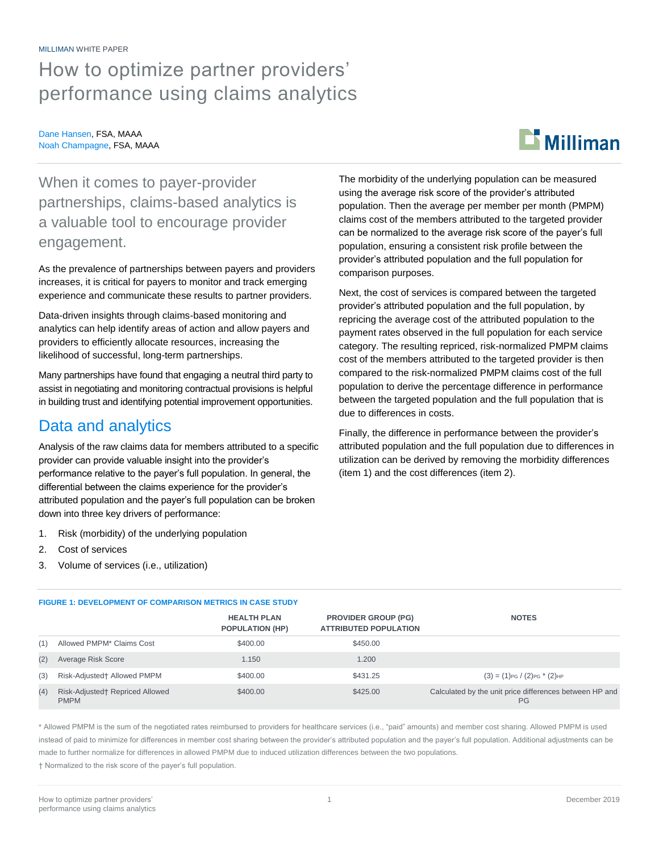#### MILLIMAN WHITE PAPER

## How to optimize partner providers' performance using claims analytics

#### Dane Hansen, FSA, MAAA Noah Champagne, FSA, MAAA

# $\mathbf{B}$  Milliman

When it comes to payer-provider partnerships, claims-based analytics is a valuable tool to encourage provider engagement.

As the prevalence of partnerships between payers and providers increases, it is critical for payers to monitor and track emerging experience and communicate these results to partner providers.

Data-driven insights through claims-based monitoring and analytics can help identify areas of action and allow payers and providers to efficiently allocate resources, increasing the likelihood of successful, long-term partnerships.

Many partnerships have found that engaging a neutral third party to assist in negotiating and monitoring contractual provisions is helpful in building trust and identifying potential improvement opportunities.

## Data and analytics

Analysis of the raw claims data for members attributed to a specific provider can provide valuable insight into the provider's performance relative to the payer's full population. In general, the differential between the claims experience for the provider's attributed population and the payer's full population can be broken down into three key drivers of performance:

- 1. Risk (morbidity) of the underlying population
- 2. Cost of services
- 3. Volume of services (i.e., utilization)

The morbidity of the underlying population can be measured using the average risk score of the provider's attributed population. Then the average per member per month (PMPM) claims cost of the members attributed to the targeted provider can be normalized to the average risk score of the payer's full population, ensuring a consistent risk profile between the provider's attributed population and the full population for comparison purposes.

Next, the cost of services is compared between the targeted provider's attributed population and the full population, by repricing the average cost of the attributed population to the payment rates observed in the full population for each service category. The resulting repriced, risk-normalized PMPM claims cost of the members attributed to the targeted provider is then compared to the risk-normalized PMPM claims cost of the full population to derive the percentage difference in performance between the targeted population and the full population that is due to differences in costs.

Finally, the difference in performance between the provider's attributed population and the full population due to differences in utilization can be derived by removing the morbidity differences (item 1) and the cost differences (item 2).

| <b>FIGURE 1: DEVELOPMENT OF COMPARISON METRICS IN CASE STUDY</b> |                                                |                                              |                                                            |                                                                      |  |
|------------------------------------------------------------------|------------------------------------------------|----------------------------------------------|------------------------------------------------------------|----------------------------------------------------------------------|--|
|                                                                  |                                                | <b>HEALTH PLAN</b><br><b>POPULATION (HP)</b> | <b>PROVIDER GROUP (PG)</b><br><b>ATTRIBUTED POPULATION</b> | <b>NOTES</b>                                                         |  |
| (1)                                                              | Allowed PMPM <sup>*</sup> Claims Cost          | \$400.00                                     | \$450.00                                                   |                                                                      |  |
| (2)                                                              | Average Risk Score                             | 1.150                                        | 1.200                                                      |                                                                      |  |
| (3)                                                              | Risk-Adjusted† Allowed PMPM                    | \$400.00                                     | \$431.25                                                   | $(3) = (1)_{PG} / (2)_{PG}$ * $(2)_{HP}$                             |  |
| (4)                                                              | Risk-Adjusted† Repriced Allowed<br><b>PMPM</b> | \$400.00                                     | \$425.00                                                   | Calculated by the unit price differences between HP and<br><b>PG</b> |  |

\* Allowed PMPM is the sum of the negotiated rates reimbursed to providers for healthcare services (i.e., "paid" amounts) and member cost sharing. Allowed PMPM is used instead of paid to minimize for differences in member cost sharing between the provider's attributed population and the payer's full population. Additional adjustments can be made to further normalize for differences in allowed PMPM due to induced utilization differences between the two populations.

† Normalized to the risk score of the payer's full population.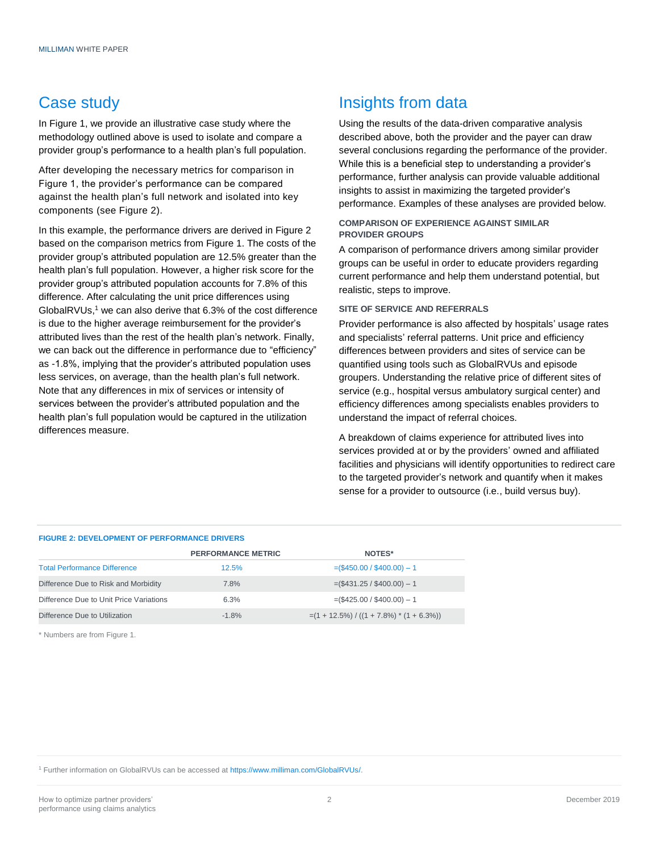## Case study

In Figure 1, we provide an illustrative case study where the methodology outlined above is used to isolate and compare a provider group's performance to a health plan's full population.

After developing the necessary metrics for comparison in Figure 1, the provider's performance can be compared against the health plan's full network and isolated into key components (see Figure 2).

In this example, the performance drivers are derived in Figure 2 based on the comparison metrics from Figure 1. The costs of the provider group's attributed population are 12.5% greater than the health plan's full population. However, a higher risk score for the provider group's attributed population accounts for 7.8% of this difference. After calculating the unit price differences using GlobalRVUs, <sup>1</sup> we can also derive that 6.3% of the cost difference is due to the higher average reimbursement for the provider's attributed lives than the rest of the health plan's network. Finally, we can back out the difference in performance due to "efficiency" as -1.8%, implying that the provider's attributed population uses less services, on average, than the health plan's full network. Note that any differences in mix of services or intensity of services between the provider's attributed population and the health plan's full population would be captured in the utilization differences measure.

## Insights from data

Using the results of the data-driven comparative analysis described above, both the provider and the payer can draw several conclusions regarding the performance of the provider. While this is a beneficial step to understanding a provider's performance, further analysis can provide valuable additional insights to assist in maximizing the targeted provider's performance. Examples of these analyses are provided below.

#### **COMPARISON OF EXPERIENCE AGAINST SIMILAR PROVIDER GROUPS**

A comparison of performance drivers among similar provider groups can be useful in order to educate providers regarding current performance and help them understand potential, but realistic, steps to improve.

#### **SITE OF SERVICE AND REFERRALS**

Provider performance is also affected by hospitals' usage rates and specialists' referral patterns. Unit price and efficiency differences between providers and sites of service can be quantified using tools such as GlobalRVUs and episode groupers. Understanding the relative price of different sites of service (e.g., hospital versus ambulatory surgical center) and efficiency differences among specialists enables providers to understand the impact of referral choices.

A breakdown of claims experience for attributed lives into services provided at or by the providers' owned and affiliated facilities and physicians will identify opportunities to redirect care to the targeted provider's network and quantify when it makes sense for a provider to outsource (i.e., build versus buy).

#### **FIGURE 2: DEVELOPMENT OF PERFORMANCE DRIVERS**

|                                         | <b>PERFORMANCE METRIC</b> | <b>NOTES*</b>                                |
|-----------------------------------------|---------------------------|----------------------------------------------|
| <b>Total Performance Difference</b>     | 12.5%                     | $=(\$450.00 / \$400.00) - 1$                 |
| Difference Due to Risk and Morbidity    | 7.8%                      | $=(\$431.25 / \$400.00) - 1$                 |
| Difference Due to Unit Price Variations | 6.3%                      | $=(\$425.00 / \$400.00) - 1$                 |
| Difference Due to Utilization           | $-1.8%$                   | $=(1 + 12.5\%) / ((1 + 7.8\%) * (1 + 6.3\%)$ |

\* Numbers are from Figure 1.

<sup>1</sup> Further information on GlobalRVUs can be accessed at [https://www.milliman.com/GlobalRVUs/.](https://www.milliman.com/GlobalRVUs/)